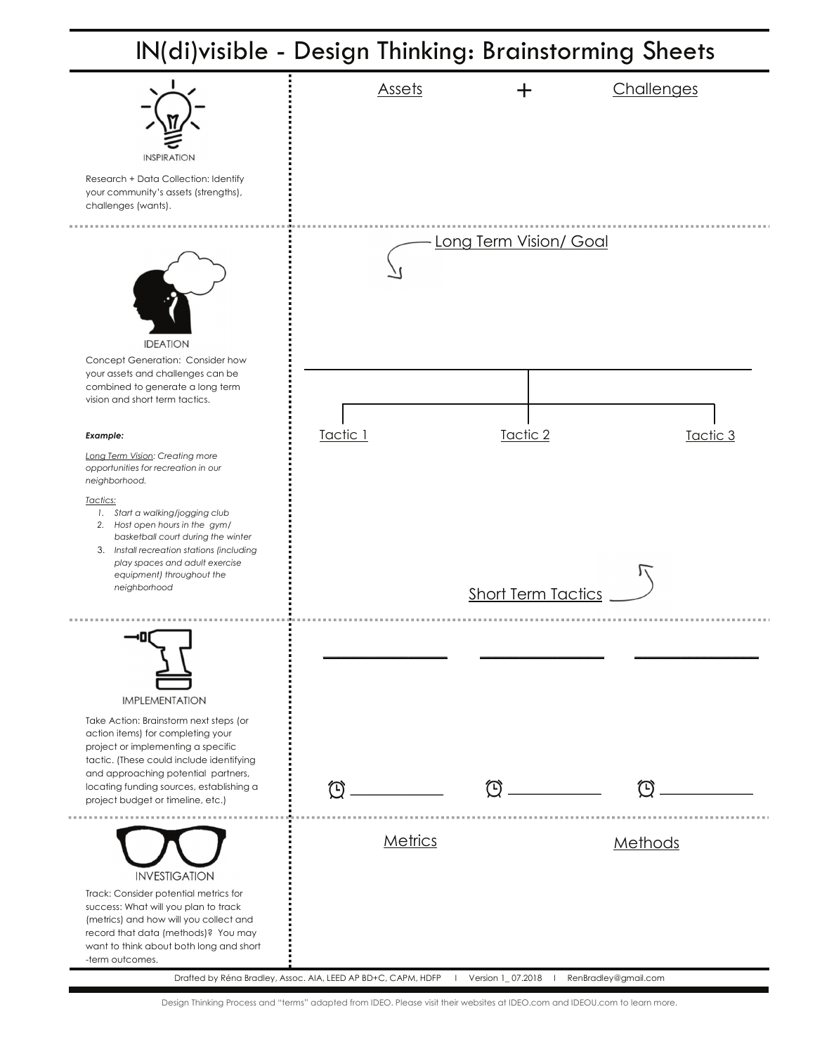# IN(di)visible - Design Thinking: Brainstorming Sheets



Design Thinking Process and "terms" adapted from IDEO. Please visit their websites at IDEO.com and IDEOU.com to learn more.